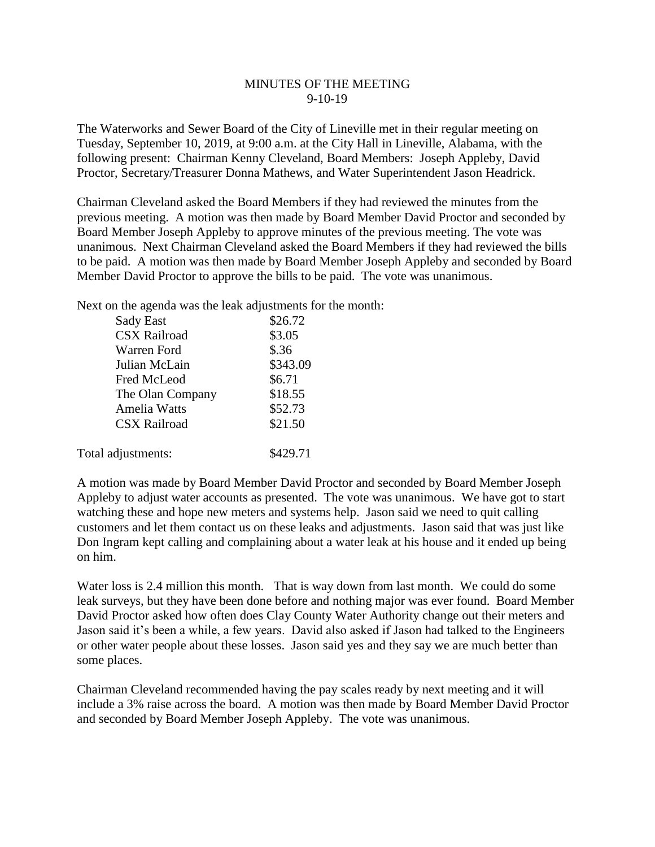## MINUTES OF THE MEETING 9-10-19

The Waterworks and Sewer Board of the City of Lineville met in their regular meeting on Tuesday, September 10, 2019, at 9:00 a.m. at the City Hall in Lineville, Alabama, with the following present: Chairman Kenny Cleveland, Board Members: Joseph Appleby, David Proctor, Secretary/Treasurer Donna Mathews, and Water Superintendent Jason Headrick.

Chairman Cleveland asked the Board Members if they had reviewed the minutes from the previous meeting. A motion was then made by Board Member David Proctor and seconded by Board Member Joseph Appleby to approve minutes of the previous meeting. The vote was unanimous. Next Chairman Cleveland asked the Board Members if they had reviewed the bills to be paid. A motion was then made by Board Member Joseph Appleby and seconded by Board Member David Proctor to approve the bills to be paid. The vote was unanimous.

Next on the agenda was the leak adjustments for the month:

| Sady East           | \$26.72  |
|---------------------|----------|
| <b>CSX Railroad</b> | \$3.05   |
| Warren Ford         | \$.36    |
| Julian McLain       | \$343.09 |
| Fred McLeod         | \$6.71   |
| The Olan Company    | \$18.55  |
| Amelia Watts        | \$52.73  |
| <b>CSX Railroad</b> | \$21.50  |
| Total adjustments:  | \$429.71 |

A motion was made by Board Member David Proctor and seconded by Board Member Joseph Appleby to adjust water accounts as presented. The vote was unanimous. We have got to start watching these and hope new meters and systems help. Jason said we need to quit calling customers and let them contact us on these leaks and adjustments. Jason said that was just like Don Ingram kept calling and complaining about a water leak at his house and it ended up being on him.

Water loss is 2.4 million this month. That is way down from last month. We could do some leak surveys, but they have been done before and nothing major was ever found. Board Member David Proctor asked how often does Clay County Water Authority change out their meters and Jason said it's been a while, a few years. David also asked if Jason had talked to the Engineers or other water people about these losses. Jason said yes and they say we are much better than some places.

Chairman Cleveland recommended having the pay scales ready by next meeting and it will include a 3% raise across the board. A motion was then made by Board Member David Proctor and seconded by Board Member Joseph Appleby. The vote was unanimous.